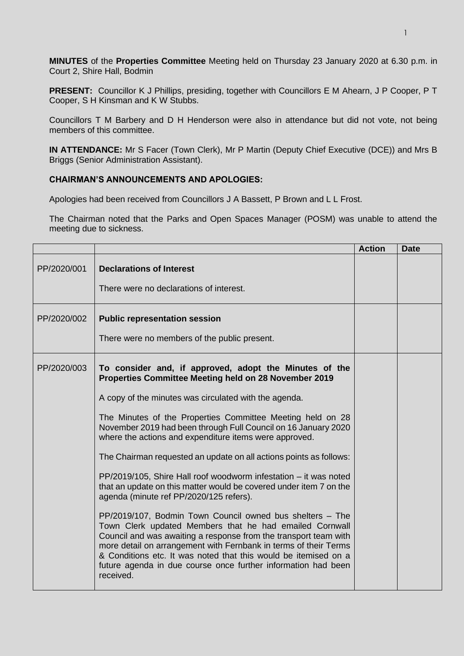**MINUTES** of the **Properties Committee** Meeting held on Thursday 23 January 2020 at 6.30 p.m. in Court 2, Shire Hall, Bodmin

**PRESENT:** Councillor K J Phillips, presiding, together with Councillors E M Ahearn, J P Cooper, P T Cooper, S H Kinsman and K W Stubbs.

Councillors T M Barbery and D H Henderson were also in attendance but did not vote, not being members of this committee.

**IN ATTENDANCE:** Mr S Facer (Town Clerk), Mr P Martin (Deputy Chief Executive (DCE)) and Mrs B Briggs (Senior Administration Assistant).

## **CHAIRMAN'S ANNOUNCEMENTS AND APOLOGIES:**

Apologies had been received from Councillors J A Bassett, P Brown and L L Frost.

The Chairman noted that the Parks and Open Spaces Manager (POSM) was unable to attend the meeting due to sickness.

|             |                                                                                                                                                                                                                                                                                                                                                                                                                                                                                                                                                                                                                                                                                                                                                                                                                                                                                                                                                                                                                                                | <b>Action</b> | <b>Date</b> |
|-------------|------------------------------------------------------------------------------------------------------------------------------------------------------------------------------------------------------------------------------------------------------------------------------------------------------------------------------------------------------------------------------------------------------------------------------------------------------------------------------------------------------------------------------------------------------------------------------------------------------------------------------------------------------------------------------------------------------------------------------------------------------------------------------------------------------------------------------------------------------------------------------------------------------------------------------------------------------------------------------------------------------------------------------------------------|---------------|-------------|
| PP/2020/001 | <b>Declarations of Interest</b><br>There were no declarations of interest.                                                                                                                                                                                                                                                                                                                                                                                                                                                                                                                                                                                                                                                                                                                                                                                                                                                                                                                                                                     |               |             |
| PP/2020/002 | <b>Public representation session</b><br>There were no members of the public present.                                                                                                                                                                                                                                                                                                                                                                                                                                                                                                                                                                                                                                                                                                                                                                                                                                                                                                                                                           |               |             |
| PP/2020/003 | To consider and, if approved, adopt the Minutes of the<br>Properties Committee Meeting held on 28 November 2019<br>A copy of the minutes was circulated with the agenda.<br>The Minutes of the Properties Committee Meeting held on 28<br>November 2019 had been through Full Council on 16 January 2020<br>where the actions and expenditure items were approved.<br>The Chairman requested an update on all actions points as follows:<br>PP/2019/105, Shire Hall roof woodworm infestation - it was noted<br>that an update on this matter would be covered under item 7 on the<br>agenda (minute ref PP/2020/125 refers).<br>PP/2019/107, Bodmin Town Council owned bus shelters - The<br>Town Clerk updated Members that he had emailed Cornwall<br>Council and was awaiting a response from the transport team with<br>more detail on arrangement with Fernbank in terms of their Terms<br>& Conditions etc. It was noted that this would be itemised on a<br>future agenda in due course once further information had been<br>received. |               |             |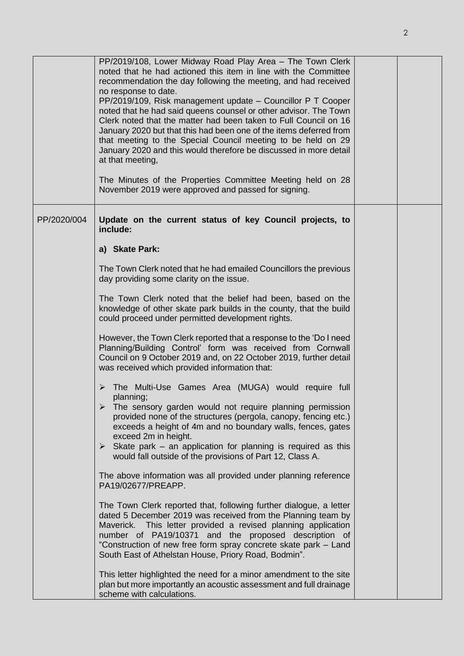|             | PP/2019/108, Lower Midway Road Play Area - The Town Clerk<br>noted that he had actioned this item in line with the Committee<br>recommendation the day following the meeting, and had received<br>no response to date.<br>PP/2019/109, Risk management update - Councillor P T Cooper<br>noted that he had said queens counsel or other advisor. The Town<br>Clerk noted that the matter had been taken to Full Council on 16<br>January 2020 but that this had been one of the items deferred from<br>that meeting to the Special Council meeting to be held on 29<br>January 2020 and this would therefore be discussed in more detail<br>at that meeting,<br>The Minutes of the Properties Committee Meeting held on 28<br>November 2019 were approved and passed for signing. |  |
|-------------|-----------------------------------------------------------------------------------------------------------------------------------------------------------------------------------------------------------------------------------------------------------------------------------------------------------------------------------------------------------------------------------------------------------------------------------------------------------------------------------------------------------------------------------------------------------------------------------------------------------------------------------------------------------------------------------------------------------------------------------------------------------------------------------|--|
| PP/2020/004 | Update on the current status of key Council projects, to<br>include:<br>a) Skate Park:                                                                                                                                                                                                                                                                                                                                                                                                                                                                                                                                                                                                                                                                                            |  |
|             | The Town Clerk noted that he had emailed Councillors the previous<br>day providing some clarity on the issue.                                                                                                                                                                                                                                                                                                                                                                                                                                                                                                                                                                                                                                                                     |  |
|             | The Town Clerk noted that the belief had been, based on the<br>knowledge of other skate park builds in the county, that the build<br>could proceed under permitted development rights.                                                                                                                                                                                                                                                                                                                                                                                                                                                                                                                                                                                            |  |
|             | However, the Town Clerk reported that a response to the 'Do I need<br>Planning/Building Control' form was received from Cornwall<br>Council on 9 October 2019 and, on 22 October 2019, further detail<br>was received which provided information that:                                                                                                                                                                                                                                                                                                                                                                                                                                                                                                                            |  |
|             | The Multi-Use Games Area (MUGA) would require full<br>planning;<br>The sensory garden would not require planning permission<br>provided none of the structures (pergola, canopy, fencing etc.)<br>exceeds a height of 4m and no boundary walls, fences, gates<br>exceed 2m in height.<br>$\triangleright$ Skate park – an application for planning is required as this<br>would fall outside of the provisions of Part 12, Class A.                                                                                                                                                                                                                                                                                                                                               |  |
|             | The above information was all provided under planning reference<br>PA19/02677/PREAPP.                                                                                                                                                                                                                                                                                                                                                                                                                                                                                                                                                                                                                                                                                             |  |
|             | The Town Clerk reported that, following further dialogue, a letter<br>dated 5 December 2019 was received from the Planning team by<br>Maverick. This letter provided a revised planning application<br>number of PA19/10371 and the proposed description of<br>"Construction of new free form spray concrete skate park – Land<br>South East of Athelstan House, Priory Road, Bodmin".                                                                                                                                                                                                                                                                                                                                                                                            |  |
|             | This letter highlighted the need for a minor amendment to the site<br>plan but more importantly an acoustic assessment and full drainage<br>scheme with calculations.                                                                                                                                                                                                                                                                                                                                                                                                                                                                                                                                                                                                             |  |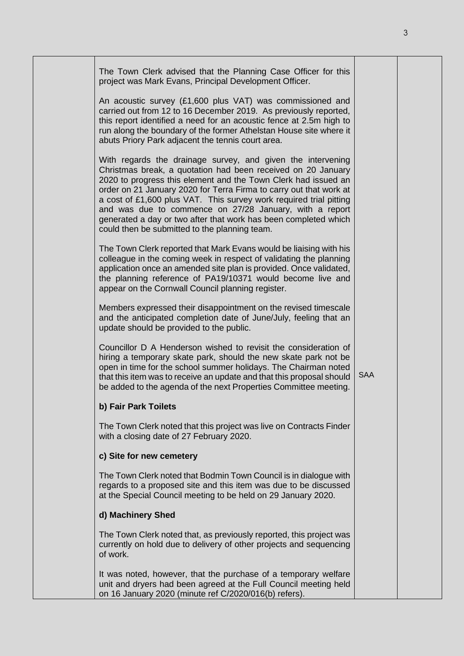| The Town Clerk advised that the Planning Case Officer for this<br>project was Mark Evans, Principal Development Officer.<br>An acoustic survey (£1,600 plus VAT) was commissioned and<br>carried out from 12 to 16 December 2019. As previously reported,<br>this report identified a need for an acoustic fence at 2.5m high to<br>run along the boundary of the former Athelstan House site where it<br>abuts Priory Park adjacent the tennis court area.                                                              |            |  |
|--------------------------------------------------------------------------------------------------------------------------------------------------------------------------------------------------------------------------------------------------------------------------------------------------------------------------------------------------------------------------------------------------------------------------------------------------------------------------------------------------------------------------|------------|--|
| With regards the drainage survey, and given the intervening<br>Christmas break, a quotation had been received on 20 January<br>2020 to progress this element and the Town Clerk had issued an<br>order on 21 January 2020 for Terra Firma to carry out that work at<br>a cost of £1,600 plus VAT. This survey work required trial pitting<br>and was due to commence on 27/28 January, with a report<br>generated a day or two after that work has been completed which<br>could then be submitted to the planning team. |            |  |
| The Town Clerk reported that Mark Evans would be liaising with his<br>colleague in the coming week in respect of validating the planning<br>application once an amended site plan is provided. Once validated,<br>the planning reference of PA19/10371 would become live and<br>appear on the Cornwall Council planning register.                                                                                                                                                                                        |            |  |
| Members expressed their disappointment on the revised timescale<br>and the anticipated completion date of June/July, feeling that an<br>update should be provided to the public.                                                                                                                                                                                                                                                                                                                                         |            |  |
| Councillor D A Henderson wished to revisit the consideration of<br>hiring a temporary skate park, should the new skate park not be<br>open in time for the school summer holidays. The Chairman noted<br>that this item was to receive an update and that this proposal should<br>be added to the agenda of the next Properties Committee meeting.                                                                                                                                                                       | <b>SAA</b> |  |
| b) Fair Park Toilets                                                                                                                                                                                                                                                                                                                                                                                                                                                                                                     |            |  |
| The Town Clerk noted that this project was live on Contracts Finder<br>with a closing date of 27 February 2020.                                                                                                                                                                                                                                                                                                                                                                                                          |            |  |
| c) Site for new cemetery                                                                                                                                                                                                                                                                                                                                                                                                                                                                                                 |            |  |
| The Town Clerk noted that Bodmin Town Council is in dialogue with<br>regards to a proposed site and this item was due to be discussed<br>at the Special Council meeting to be held on 29 January 2020.                                                                                                                                                                                                                                                                                                                   |            |  |
| d) Machinery Shed                                                                                                                                                                                                                                                                                                                                                                                                                                                                                                        |            |  |
| The Town Clerk noted that, as previously reported, this project was<br>currently on hold due to delivery of other projects and sequencing<br>of work.                                                                                                                                                                                                                                                                                                                                                                    |            |  |
| It was noted, however, that the purchase of a temporary welfare<br>unit and dryers had been agreed at the Full Council meeting held<br>on 16 January 2020 (minute ref C/2020/016(b) refers).                                                                                                                                                                                                                                                                                                                             |            |  |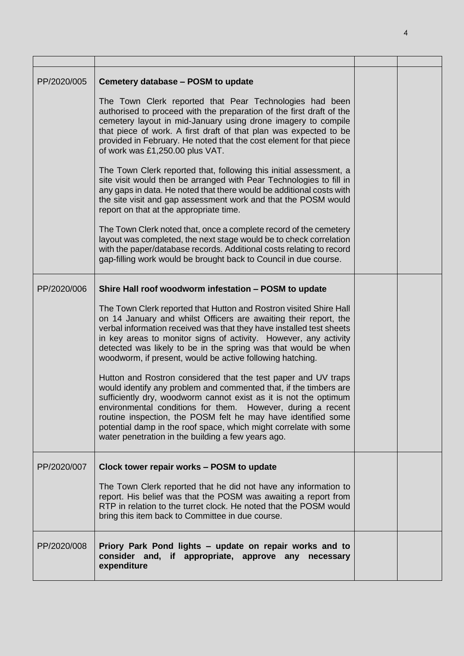| PP/2020/005 | Cemetery database - POSM to update<br>The Town Clerk reported that Pear Technologies had been<br>authorised to proceed with the preparation of the first draft of the<br>cemetery layout in mid-January using drone imagery to compile<br>that piece of work. A first draft of that plan was expected to be<br>provided in February. He noted that the cost element for that piece<br>of work was £1,250.00 plus VAT.<br>The Town Clerk reported that, following this initial assessment, a<br>site visit would then be arranged with Pear Technologies to fill in<br>any gaps in data. He noted that there would be additional costs with<br>the site visit and gap assessment work and that the POSM would<br>report on that at the appropriate time.<br>The Town Clerk noted that, once a complete record of the cemetery<br>layout was completed, the next stage would be to check correlation<br>with the paper/database records. Additional costs relating to record<br>gap-filling work would be brought back to Council in due course. |  |
|-------------|------------------------------------------------------------------------------------------------------------------------------------------------------------------------------------------------------------------------------------------------------------------------------------------------------------------------------------------------------------------------------------------------------------------------------------------------------------------------------------------------------------------------------------------------------------------------------------------------------------------------------------------------------------------------------------------------------------------------------------------------------------------------------------------------------------------------------------------------------------------------------------------------------------------------------------------------------------------------------------------------------------------------------------------------|--|
| PP/2020/006 | Shire Hall roof woodworm infestation - POSM to update<br>The Town Clerk reported that Hutton and Rostron visited Shire Hall<br>on 14 January and whilst Officers are awaiting their report, the<br>verbal information received was that they have installed test sheets<br>in key areas to monitor signs of activity. However, any activity<br>detected was likely to be in the spring was that would be when<br>woodworm, if present, would be active following hatching.<br>Hutton and Rostron considered that the test paper and UV traps<br>would identify any problem and commented that, if the timbers are<br>sufficiently dry, woodworm cannot exist as it is not the optimum<br>environmental conditions for them. However, during a recent<br>routine inspection, the POSM felt he may have identified some<br>potential damp in the roof space, which might correlate with some<br>water penetration in the building a few years ago.                                                                                               |  |
| PP/2020/007 | Clock tower repair works - POSM to update<br>The Town Clerk reported that he did not have any information to<br>report. His belief was that the POSM was awaiting a report from<br>RTP in relation to the turret clock. He noted that the POSM would<br>bring this item back to Committee in due course.                                                                                                                                                                                                                                                                                                                                                                                                                                                                                                                                                                                                                                                                                                                                       |  |
| PP/2020/008 | Priory Park Pond lights - update on repair works and to<br>consider and, if appropriate, approve any necessary<br>expenditure                                                                                                                                                                                                                                                                                                                                                                                                                                                                                                                                                                                                                                                                                                                                                                                                                                                                                                                  |  |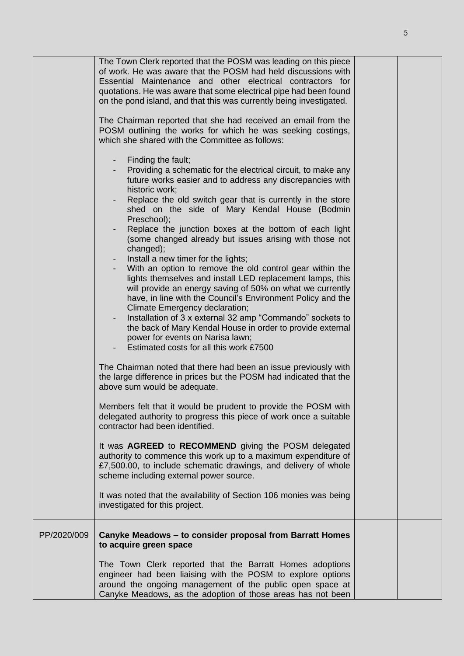|             | The Town Clerk reported that the POSM was leading on this piece<br>of work. He was aware that the POSM had held discussions with<br>Essential Maintenance and other electrical contractors for<br>quotations. He was aware that some electrical pipe had been found<br>on the pond island, and that this was currently being investigated.<br>The Chairman reported that she had received an email from the<br>POSM outlining the works for which he was seeking costings,<br>which she shared with the Committee as follows:                                                                                                                                                                                                                                                                                                                                                                                                                                                    |  |
|-------------|----------------------------------------------------------------------------------------------------------------------------------------------------------------------------------------------------------------------------------------------------------------------------------------------------------------------------------------------------------------------------------------------------------------------------------------------------------------------------------------------------------------------------------------------------------------------------------------------------------------------------------------------------------------------------------------------------------------------------------------------------------------------------------------------------------------------------------------------------------------------------------------------------------------------------------------------------------------------------------|--|
|             | Finding the fault;<br>- Providing a schematic for the electrical circuit, to make any<br>future works easier and to address any discrepancies with<br>historic work;<br>Replace the old switch gear that is currently in the store<br>shed on the side of Mary Kendal House (Bodmin<br>Preschool);<br>Replace the junction boxes at the bottom of each light<br>(some changed already but issues arising with those not<br>changed);<br>- Install a new timer for the lights;<br>- With an option to remove the old control gear within the<br>lights themselves and install LED replacement lamps, this<br>will provide an energy saving of 50% on what we currently<br>have, in line with the Council's Environment Policy and the<br>Climate Emergency declaration;<br>Installation of 3 x external 32 amp "Commando" sockets to<br>the back of Mary Kendal House in order to provide external<br>power for events on Narisa lawn;<br>Estimated costs for all this work £7500 |  |
|             | The Chairman noted that there had been an issue previously with<br>the large difference in prices but the POSM had indicated that the<br>above sum would be adequate.<br>Members felt that it would be prudent to provide the POSM with                                                                                                                                                                                                                                                                                                                                                                                                                                                                                                                                                                                                                                                                                                                                          |  |
|             | delegated authority to progress this piece of work once a suitable<br>contractor had been identified.                                                                                                                                                                                                                                                                                                                                                                                                                                                                                                                                                                                                                                                                                                                                                                                                                                                                            |  |
|             | It was <b>AGREED</b> to <b>RECOMMEND</b> giving the POSM delegated<br>authority to commence this work up to a maximum expenditure of<br>£7,500.00, to include schematic drawings, and delivery of whole<br>scheme including external power source.                                                                                                                                                                                                                                                                                                                                                                                                                                                                                                                                                                                                                                                                                                                               |  |
|             | It was noted that the availability of Section 106 monies was being<br>investigated for this project.                                                                                                                                                                                                                                                                                                                                                                                                                                                                                                                                                                                                                                                                                                                                                                                                                                                                             |  |
| PP/2020/009 | Canyke Meadows - to consider proposal from Barratt Homes<br>to acquire green space<br>The Town Clerk reported that the Barratt Homes adoptions                                                                                                                                                                                                                                                                                                                                                                                                                                                                                                                                                                                                                                                                                                                                                                                                                                   |  |
|             | engineer had been liaising with the POSM to explore options<br>around the ongoing management of the public open space at<br>Canyke Meadows, as the adoption of those areas has not been                                                                                                                                                                                                                                                                                                                                                                                                                                                                                                                                                                                                                                                                                                                                                                                          |  |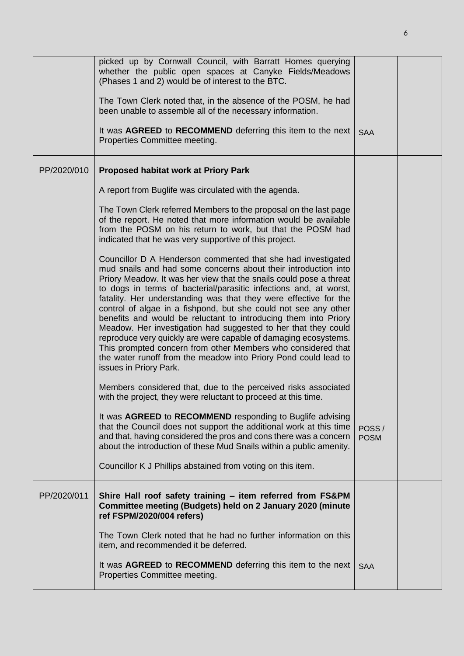|             | picked up by Cornwall Council, with Barratt Homes querying<br>whether the public open spaces at Canyke Fields/Meadows<br>(Phases 1 and 2) would be of interest to the BTC.<br>The Town Clerk noted that, in the absence of the POSM, he had<br>been unable to assemble all of the necessary information.<br>It was AGREED to RECOMMEND deferring this item to the next<br>Properties Committee meeting.                                                                                                                                                                                                                                                                                                                                                                               | <b>SAA</b>           |  |
|-------------|---------------------------------------------------------------------------------------------------------------------------------------------------------------------------------------------------------------------------------------------------------------------------------------------------------------------------------------------------------------------------------------------------------------------------------------------------------------------------------------------------------------------------------------------------------------------------------------------------------------------------------------------------------------------------------------------------------------------------------------------------------------------------------------|----------------------|--|
| PP/2020/010 | <b>Proposed habitat work at Priory Park</b>                                                                                                                                                                                                                                                                                                                                                                                                                                                                                                                                                                                                                                                                                                                                           |                      |  |
|             | A report from Buglife was circulated with the agenda.                                                                                                                                                                                                                                                                                                                                                                                                                                                                                                                                                                                                                                                                                                                                 |                      |  |
|             | The Town Clerk referred Members to the proposal on the last page<br>of the report. He noted that more information would be available<br>from the POSM on his return to work, but that the POSM had<br>indicated that he was very supportive of this project.                                                                                                                                                                                                                                                                                                                                                                                                                                                                                                                          |                      |  |
|             | Councillor D A Henderson commented that she had investigated<br>mud snails and had some concerns about their introduction into<br>Priory Meadow. It was her view that the snails could pose a threat<br>to dogs in terms of bacterial/parasitic infections and, at worst,<br>fatality. Her understanding was that they were effective for the<br>control of algae in a fishpond, but she could not see any other<br>benefits and would be reluctant to introducing them into Priory<br>Meadow. Her investigation had suggested to her that they could<br>reproduce very quickly are were capable of damaging ecosystems.<br>This prompted concern from other Members who considered that<br>the water runoff from the meadow into Priory Pond could lead to<br>issues in Priory Park. |                      |  |
|             | Members considered that, due to the perceived risks associated<br>with the project, they were reluctant to proceed at this time.                                                                                                                                                                                                                                                                                                                                                                                                                                                                                                                                                                                                                                                      |                      |  |
|             | It was AGREED to RECOMMEND responding to Buglife advising<br>that the Council does not support the additional work at this time<br>and that, having considered the pros and cons there was a concern<br>about the introduction of these Mud Snails within a public amenity.<br>Councillor K J Phillips abstained from voting on this item.                                                                                                                                                                                                                                                                                                                                                                                                                                            | POSS/<br><b>POSM</b> |  |
|             |                                                                                                                                                                                                                                                                                                                                                                                                                                                                                                                                                                                                                                                                                                                                                                                       |                      |  |
| PP/2020/011 | Shire Hall roof safety training - item referred from FS&PM<br>Committee meeting (Budgets) held on 2 January 2020 (minute<br>ref FSPM/2020/004 refers)                                                                                                                                                                                                                                                                                                                                                                                                                                                                                                                                                                                                                                 |                      |  |
|             | The Town Clerk noted that he had no further information on this<br>item, and recommended it be deferred.                                                                                                                                                                                                                                                                                                                                                                                                                                                                                                                                                                                                                                                                              |                      |  |
|             | It was AGREED to RECOMMEND deferring this item to the next<br>Properties Committee meeting.                                                                                                                                                                                                                                                                                                                                                                                                                                                                                                                                                                                                                                                                                           | <b>SAA</b>           |  |